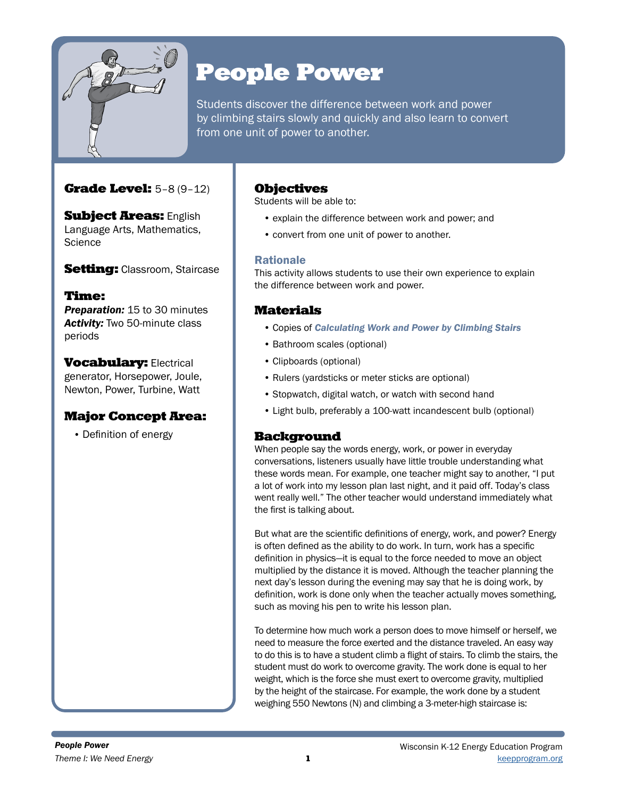

# People Power

Students discover the difference between work and power by climbing stairs slowly and quickly and also learn to convert from one unit of power to another.

### Grade Level: 5–8 (9–12)

**Subject Areas: English** Language Arts, Mathematics, **Science** 

**Setting:** Classroom, Staircase

### Time:

*Preparation:* 15 to 30 minutes *Activity:* Two 50-minute class periods

**Vocabulary: Electrical** generator, Horsepower, Joule, Newton, Power, Turbine, Watt

### Major Concept Area:

• Definition of energy

### **Objectives**

Students will be able to:

- explain the difference between work and power; and
- convert from one unit of power to another.

### Rationale

This activity allows students to use their own experience to explain the difference between work and power.

### **Materials**

- Copies of *Calculating Work and Power by Climbing Stairs*
- Bathroom scales (optional)
- Clipboards (optional)
- Rulers (yardsticks or meter sticks are optional)
- Stopwatch, digital watch, or watch with second hand
- Light bulb, preferably a 100-watt incandescent bulb (optional)

### Background

When people say the words energy, work, or power in everyday conversations, listeners usually have little trouble understanding what these words mean. For example, one teacher might say to another, "I put a lot of work into my lesson plan last night, and it paid off. Today's class went really well." The other teacher would understand immediately what the first is talking about.

But what are the scientific definitions of energy, work, and power? Energy is often defined as the ability to do work. In turn, work has a specific definition in physics—it is equal to the force needed to move an object multiplied by the distance it is moved. Although the teacher planning the next day's lesson during the evening may say that he is doing work, by definition, work is done only when the teacher actually moves something, such as moving his pen to write his lesson plan.

To determine how much work a person does to move himself or herself, we need to measure the force exerted and the distance traveled. An easy way to do this is to have a student climb a flight of stairs. To climb the stairs, the student must do work to overcome gravity. The work done is equal to her weight, which is the force she must exert to overcome gravity, multiplied by the height of the staircase. For example, the work done by a student weighing 550 Newtons (N) and climbing a 3-meter-high staircase is: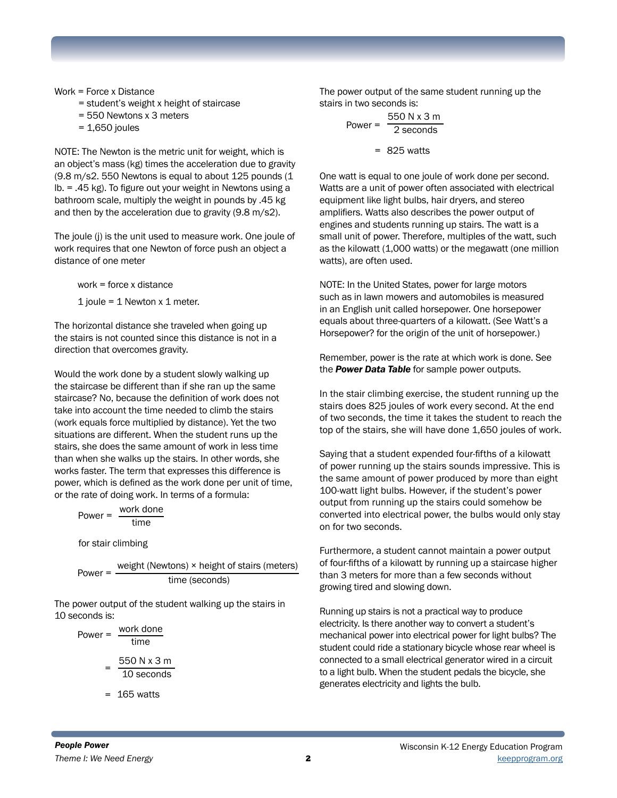Work = Force x Distance

- = student's weight x height of staircase
- = 550 Newtons x 3 meters
- $= 1,650$  joules

NOTE: The Newton is the metric unit for weight, which is an object's mass (kg) times the acceleration due to gravity (9.8 m/s2. 550 Newtons is equal to about 125 pounds (1 lb. = .45 kg). To figure out your weight in Newtons using a bathroom scale, multiply the weight in pounds by .45 kg and then by the acceleration due to gravity (9.8 m/s2).

The joule (j) is the unit used to measure work. One joule of work requires that one Newton of force push an object a distance of one meter

work = force x distance

1 joule = 1 Newton x 1 meter.

The horizontal distance she traveled when going up the stairs is not counted since this distance is not in a direction that overcomes gravity.

Would the work done by a student slowly walking up the staircase be different than if she ran up the same staircase? No, because the definition of work does not take into account the time needed to climb the stairs (work equals force multiplied by distance). Yet the two situations are different. When the student runs up the stairs, she does the same amount of work in less time than when she walks up the stairs. In other words, she works faster. The term that expresses this difference is power, which is defined as the work done per unit of time, or the rate of doing work. In terms of a formula:

Power =  $\frac{\text{work done}}{\text{time}}$ 

for stair climbing

time (seconds) Power = weight (Newtons) × height of stairs (meters)

The power output of the student walking up the stairs in 10 seconds is:

Power =  $\frac{\text{work done}}{\text{time}}$  $= \frac{550 \text{ N} \times 3 \text{ m}}{10 \text{ seconds}}$ 

 $= 165$  watts

The power output of the same student running up the stairs in two seconds is:

$$
Power = \frac{550 \text{ N} \times 3 \text{ m}}{2 \text{ seconds}}
$$

$$
= 825 \text{ watts}
$$

One watt is equal to one joule of work done per second. Watts are a unit of power often associated with electrical equipment like light bulbs, hair dryers, and stereo amplifiers. Watts also describes the power output of engines and students running up stairs. The watt is a small unit of power. Therefore, multiples of the watt, such as the kilowatt (1,000 watts) or the megawatt (one million watts), are often used.

NOTE: In the United States, power for large motors such as in lawn mowers and automobiles is measured in an English unit called horsepower. One horsepower equals about three-quarters of a kilowatt. (See Watt's a Horsepower? for the origin of the unit of horsepower.)

Remember, power is the rate at which work is done. See the *Power Data Table* for sample power outputs.

In the stair climbing exercise, the student running up the stairs does 825 joules of work every second. At the end of two seconds, the time it takes the student to reach the top of the stairs, she will have done 1,650 joules of work.

Saying that a student expended four-fifths of a kilowatt of power running up the stairs sounds impressive. This is the same amount of power produced by more than eight 100-watt light bulbs. However, if the student's power output from running up the stairs could somehow be converted into electrical power, the bulbs would only stay on for two seconds.

Furthermore, a student cannot maintain a power output of four-fifths of a kilowatt by running up a staircase higher than 3 meters for more than a few seconds without growing tired and slowing down.

Running up stairs is not a practical way to produce electricity. Is there another way to convert a student's mechanical power into electrical power for light bulbs? The student could ride a stationary bicycle whose rear wheel is connected to a small electrical generator wired in a circuit to a light bulb. When the student pedals the bicycle, she generates electricity and lights the bulb.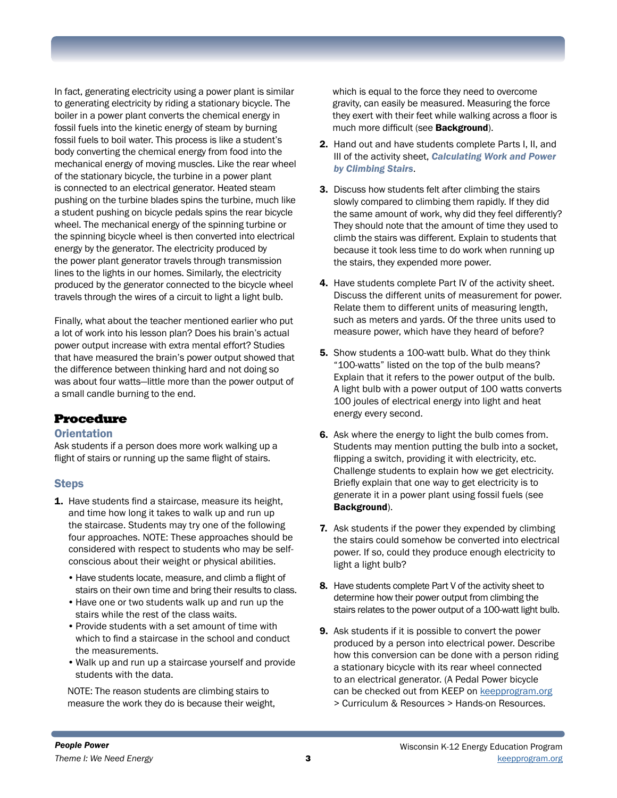In fact, generating electricity using a power plant is similar to generating electricity by riding a stationary bicycle. The boiler in a power plant converts the chemical energy in fossil fuels into the kinetic energy of steam by burning fossil fuels to boil water. This process is like a student's body converting the chemical energy from food into the mechanical energy of moving muscles. Like the rear wheel of the stationary bicycle, the turbine in a power plant is connected to an electrical generator. Heated steam pushing on the turbine blades spins the turbine, much like a student pushing on bicycle pedals spins the rear bicycle wheel. The mechanical energy of the spinning turbine or the spinning bicycle wheel is then converted into electrical energy by the generator. The electricity produced by the power plant generator travels through transmission lines to the lights in our homes. Similarly, the electricity produced by the generator connected to the bicycle wheel travels through the wires of a circuit to light a light bulb.

Finally, what about the teacher mentioned earlier who put a lot of work into his lesson plan? Does his brain's actual power output increase with extra mental effort? Studies that have measured the brain's power output showed that the difference between thinking hard and not doing so was about four watts—little more than the power output of a small candle burning to the end.

### Procedure

#### **Orientation**

Ask students if a person does more work walking up a flight of stairs or running up the same flight of stairs.

#### **Steps**

- 1. Have students find a staircase, measure its height, and time how long it takes to walk up and run up the staircase. Students may try one of the following four approaches. NOTE: These approaches should be considered with respect to students who may be selfconscious about their weight or physical abilities.
	- •Have students locate, measure, and climb a flight of stairs on their own time and bring their results to class.
	- •Have one or two students walk up and run up the stairs while the rest of the class waits.
	- •Provide students with a set amount of time with which to find a staircase in the school and conduct the measurements.
	- •Walk up and run up a staircase yourself and provide students with the data.

NOTE: The reason students are climbing stairs to measure the work they do is because their weight, which is equal to the force they need to overcome gravity, can easily be measured. Measuring the force they exert with their feet while walking across a floor is much more difficult (see **Background**).

- 2. Hand out and have students complete Parts I, II, and III of the activity sheet, *Calculating Work and Power by Climbing Stairs*.
- **3.** Discuss how students felt after climbing the stairs slowly compared to climbing them rapidly. If they did the same amount of work, why did they feel differently? They should note that the amount of time they used to climb the stairs was different. Explain to students that because it took less time to do work when running up the stairs, they expended more power.
- 4. Have students complete Part IV of the activity sheet. Discuss the different units of measurement for power. Relate them to different units of measuring length, such as meters and yards. Of the three units used to measure power, which have they heard of before?
- 5. Show students a 100-watt bulb. What do they think "100-watts" listed on the top of the bulb means? Explain that it refers to the power output of the bulb. A light bulb with a power output of 100 watts converts 100 joules of electrical energy into light and heat energy every second.
- 6. Ask where the energy to light the bulb comes from. Students may mention putting the bulb into a socket, flipping a switch, providing it with electricity, etc. Challenge students to explain how we get electricity. Briefly explain that one way to get electricity is to generate it in a power plant using fossil fuels (see Background).
- **7.** Ask students if the power they expended by climbing the stairs could somehow be converted into electrical power. If so, could they produce enough electricity to light a light bulb?
- 8. Have students complete Part V of the activity sheet to determine how their power output from climbing the stairs relates to the power output of a 100-watt light bulb.
- 9. Ask students if it is possible to convert the power produced by a person into electrical power. Describe how this conversion can be done with a person riding a stationary bicycle with its rear wheel connected to an electrical generator. (A Pedal Power bicycle can be checked out from KEEP on [keepprogram.org](http://keepprogram.org) > Curriculum & Resources > Hands-on Resources.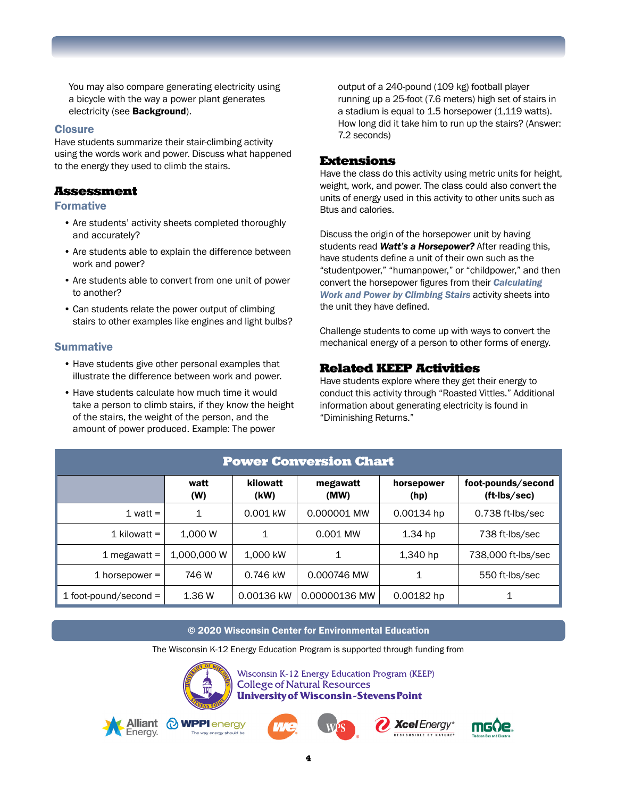You may also compare generating electricity using a bicycle with the way a power plant generates electricity (see Background).

#### **Closure**

Have students summarize their stair-climbing activity using the words work and power. Discuss what happened to the energy they used to climb the stairs.

### Assessment

#### Formative

- Are students' activity sheets completed thoroughly and accurately?
- Are students able to explain the difference between work and power?
- Are students able to convert from one unit of power to another?
- Can students relate the power output of climbing stairs to other examples like engines and light bulbs?

#### Summative

- Have students give other personal examples that illustrate the difference between work and power.
- Have students calculate how much time it would take a person to climb stairs, if they know the height of the stairs, the weight of the person, and the amount of power produced. Example: The power

output of a 240-pound (109 kg) football player running up a 25-foot (7.6 meters) high set of stairs in a stadium is equal to 1.5 horsepower (1,119 watts). How long did it take him to run up the stairs? (Answer: 7.2 seconds)

### Extensions

Have the class do this activity using metric units for height, weight, work, and power. The class could also convert the units of energy used in this activity to other units such as Btus and calories.

Discuss the origin of the horsepower unit by having students read *Watt's a Horsepower?* After reading this, have students define a unit of their own such as the "studentpower," "humanpower," or "childpower," and then convert the horsepower figures from their *Calculating Work and Power by Climbing Stairs* activity sheets into the unit they have defined.

Challenge students to come up with ways to convert the mechanical energy of a person to other forms of energy.

### Related KEEP Activities

Have students explore where they get their energy to conduct this activity through "Roasted Vittles." Additional information about generating electricity is found in "Diminishing Returns."

| <b>Power Conversion Chart</b> |             |                  |                  |                    |                                    |
|-------------------------------|-------------|------------------|------------------|--------------------|------------------------------------|
|                               | watt<br>(W) | kilowatt<br>(kW) | megawatt<br>(MW) | horsepower<br>(hp) | foot-pounds/second<br>(ft-Ibs/sec) |
| 1 watt $=$                    | 1           | 0.001 kW         | 0.000001 MW      | 0.00134 hp         | 0.738 ft-lbs/sec                   |
| 1 kilowatt $=$                | 1.000 W     | 1                | 0.001 MW         | $1.34$ hp          | 738 ft-lbs/sec                     |
| 1 megawatt $=$                | 1,000,000 W | 1,000 kW         | 1                | 1,340 hp           | 738,000 ft-lbs/sec                 |
| 1 horsepower $=$              | 746 W       | 0.746 kW         | 0.000746 MW      | 1                  | 550 ft-lbs/sec                     |
| $1$ foot-pound/second =       | 1.36 W      | 0.00136 kW       | 0.00000136 MW    | 0.00182 hp         |                                    |

#### © 2020 Wisconsin Center for Environmental Education

The Wisconsin K-12 Energy Education Program is supported through funding from



Wisconsin K-12 Energy Education Program (KEEP) **College of Natural Resources University of Wisconsin-Stevens Point** 









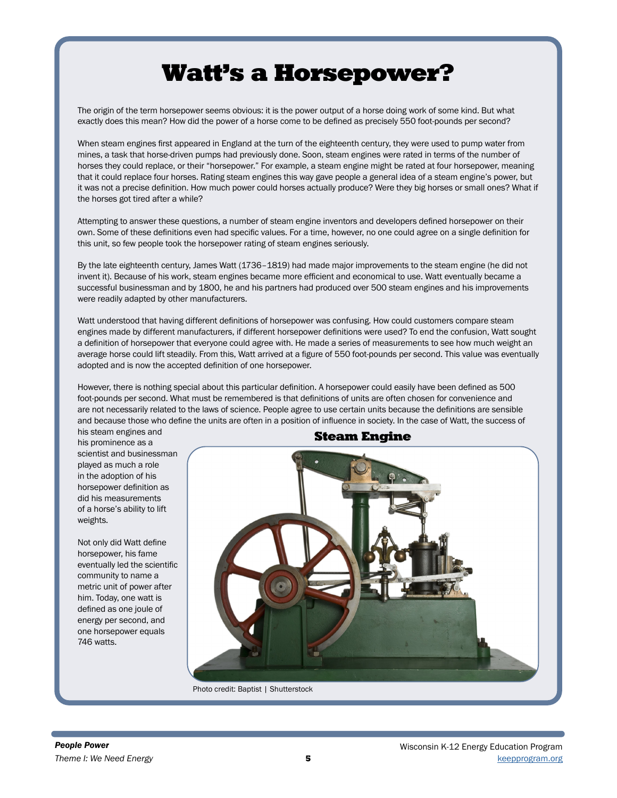## Watt's a Horsepower?

The origin of the term horsepower seems obvious: it is the power output of a horse doing work of some kind. But what exactly does this mean? How did the power of a horse come to be defined as precisely 550 foot-pounds per second?

When steam engines first appeared in England at the turn of the eighteenth century, they were used to pump water from mines, a task that horse-driven pumps had previously done. Soon, steam engines were rated in terms of the number of horses they could replace, or their "horsepower." For example, a steam engine might be rated at four horsepower, meaning that it could replace four horses. Rating steam engines this way gave people a general idea of a steam engine's power, but it was not a precise definition. How much power could horses actually produce? Were they big horses or small ones? What if the horses got tired after a while?

Attempting to answer these questions, a number of steam engine inventors and developers defined horsepower on their own. Some of these definitions even had specific values. For a time, however, no one could agree on a single definition for this unit, so few people took the horsepower rating of steam engines seriously.

By the late eighteenth century, James Watt (1736–1819) had made major improvements to the steam engine (he did not invent it). Because of his work, steam engines became more efficient and economical to use. Watt eventually became a successful businessman and by 1800, he and his partners had produced over 500 steam engines and his improvements were readily adapted by other manufacturers.

Watt understood that having different definitions of horsepower was confusing. How could customers compare steam engines made by different manufacturers, if different horsepower definitions were used? To end the confusion, Watt sought a definition of horsepower that everyone could agree with. He made a series of measurements to see how much weight an average horse could lift steadily. From this, Watt arrived at a figure of 550 foot‑pounds per second. This value was eventually adopted and is now the accepted definition of one horsepower.

However, there is nothing special about this particular definition. A horsepower could easily have been defined as 500 foot-pounds per second. What must be remembered is that definitions of units are often chosen for convenience and are not necessarily related to the laws of science. People agree to use certain units because the definitions are sensible and because those who define the units are often in a position of influence in society. In the case of Watt, the success of

his steam engines and his prominence as a scientist and businessman played as much a role in the adoption of his horsepower definition as did his measurements of a horse's ability to lift weights.

Not only did Watt define horsepower, his fame eventually led the scientific community to name a metric unit of power after him. Today, one watt is defined as one joule of energy per second, and one horsepower equals 746 watts.

### Steam Engine

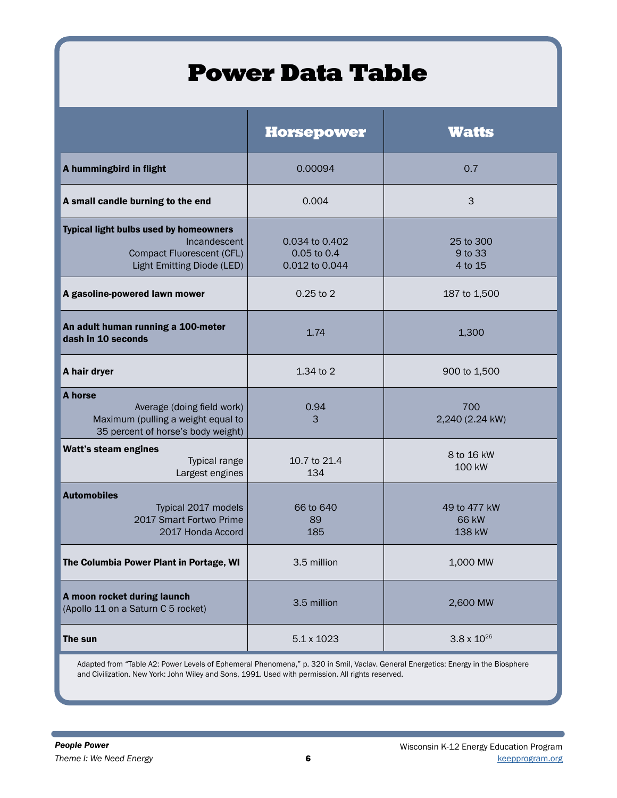## Power Data Table

|                                                                                                                          | <b>Horsepower</b>                               | <b>Watts</b>                    |
|--------------------------------------------------------------------------------------------------------------------------|-------------------------------------------------|---------------------------------|
| A hummingbird in flight                                                                                                  | 0.00094                                         | 0.7                             |
| A small candle burning to the end                                                                                        | 0.004                                           | 3                               |
| <b>Typical light bulbs used by homeowners</b><br>Incandescent<br>Compact Fluorescent (CFL)<br>Light Emitting Diode (LED) | 0.034 to 0.402<br>0.05 to 0.4<br>0.012 to 0.044 | 25 to 300<br>9 to 33<br>4 to 15 |
| A gasoline-powered lawn mower                                                                                            | $0.25$ to 2                                     | 187 to 1,500                    |
| An adult human running a 100-meter<br>dash in 10 seconds                                                                 | 1.74                                            | 1,300                           |
| A hair dryer                                                                                                             | 1.34 to 2                                       | 900 to 1,500                    |
| A horse<br>Average (doing field work)<br>Maximum (pulling a weight equal to<br>35 percent of horse's body weight)        | 0.94<br>3                                       | 700<br>2,240 (2.24 kW)          |
| Watt's steam engines<br>Typical range<br>Largest engines                                                                 | 10.7 to 21.4<br>134                             | 8 to 16 kW<br>100 kW            |
| <b>Automobiles</b><br>Typical 2017 models<br>2017 Smart Fortwo Prime<br>2017 Honda Accord                                | 66 to 640<br>89<br>185                          | 49 to 477 kW<br>66 kW<br>138 kW |
| The Columbia Power Plant in Portage, WI                                                                                  | 3.5 million                                     | 1,000 MW                        |
| A moon rocket during launch<br>(Apollo 11 on a Saturn C 5 rocket)                                                        | 3.5 million                                     | 2,600 MW                        |
| The sun                                                                                                                  | 5.1 x 1023                                      | $3.8 \times 10^{26}$            |

Adapted from "Table A2: Power Levels of Ephemeral Phenomena," p. 320 in Smil, Vaclav. General Energetics: Energy in the Biosphere and Civilization. New York: John Wiley and Sons, 1991. Used with permission. All rights reserved.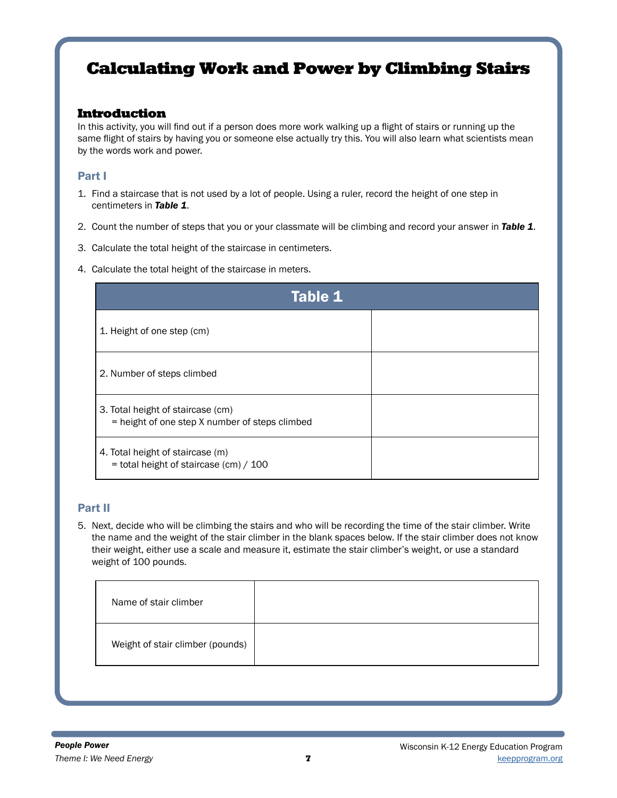### Calculating Work and Power by Climbing Stairs

### Introduction

In this activity, you will find out if a person does more work walking up a flight of stairs or running up the same flight of stairs by having you or someone else actually try this. You will also learn what scientists mean by the words work and power.

### Part I

- 1. Find a staircase that is not used by a lot of people. Using a ruler, record the height of one step in centimeters in *Table 1*.
- 2. Count the number of steps that you or your classmate will be climbing and record your answer in *Table 1*.
- 3. Calculate the total height of the staircase in centimeters.
- 4. Calculate the total height of the staircase in meters.

| <b>Table 1</b>                                                                      |  |  |
|-------------------------------------------------------------------------------------|--|--|
| 1. Height of one step (cm)                                                          |  |  |
| 2. Number of steps climbed                                                          |  |  |
| 3. Total height of staircase (cm)<br>= height of one step X number of steps climbed |  |  |
| 4. Total height of staircase (m)<br>$=$ total height of staircase (cm) / 100        |  |  |

### Part II

5. Next, decide who will be climbing the stairs and who will be recording the time of the stair climber. Write the name and the weight of the stair climber in the blank spaces below. If the stair climber does not know their weight, either use a scale and measure it, estimate the stair climber's weight, or use a standard weight of 100 pounds.

| Name of stair climber            |  |
|----------------------------------|--|
| Weight of stair climber (pounds) |  |
|                                  |  |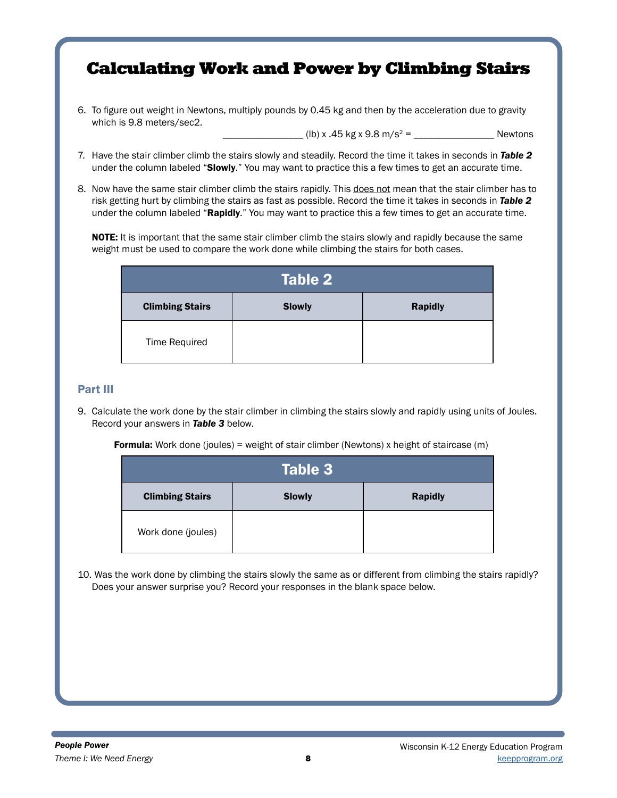### Calculating Work and Power by Climbing Stairs

6. To figure out weight in Newtons, multiply pounds by 0.45 kg and then by the acceleration due to gravity which is 9.8 meters/sec2.

\_\_\_\_\_\_\_\_\_\_\_\_\_\_\_\_ (lb) x .45 kg x 9.8 m/s2 = \_\_\_\_\_\_\_\_\_\_\_\_\_\_\_\_ Newtons

- 7. Have the stair climber climb the stairs slowly and steadily. Record the time it takes in seconds in *Table 2* under the column labeled "Slowly." You may want to practice this a few times to get an accurate time.
- 8. Now have the same stair climber climb the stairs rapidly. This does not mean that the stair climber has to risk getting hurt by climbing the stairs as fast as possible. Record the time it takes in seconds in *Table 2* under the column labeled "Rapidly." You may want to practice this a few times to get an accurate time.

NOTE: It is important that the same stair climber climb the stairs slowly and rapidly because the same weight must be used to compare the work done while climbing the stairs for both cases.

| Table 2                |               |                |  |
|------------------------|---------------|----------------|--|
| <b>Climbing Stairs</b> | <b>Slowly</b> | <b>Rapidly</b> |  |
| Time Required          |               |                |  |

### Part III

9. Calculate the work done by the stair climber in climbing the stairs slowly and rapidly using units of Joules. Record your answers in *Table 3* below.

**Formula:** Work done (joules) = weight of stair climber (Newtons) x height of staircase (m)

| Table 3                |               |                |  |
|------------------------|---------------|----------------|--|
| <b>Climbing Stairs</b> | <b>Slowly</b> | <b>Rapidly</b> |  |
| Work done (joules)     |               |                |  |

10. Was the work done by climbing the stairs slowly the same as or different from climbing the stairs rapidly? Does your answer surprise you? Record your responses in the blank space below.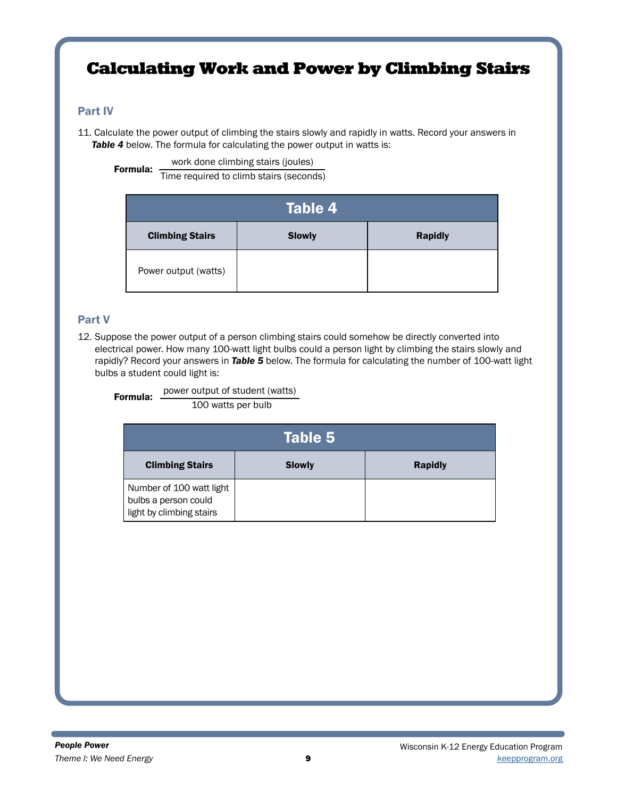### Calculating Work and Power by Climbing Stairs

### Part IV

11. Calculate the power output of climbing the stairs slowly and rapidly in watts. Record your answers in **Table 4** below. The formula for calculating the power output in watts is:

work done climbing stairs (joules)

Formula: Time required to climb stairs (seconds)

| Table 4'               |               |                |  |  |
|------------------------|---------------|----------------|--|--|
| <b>Climbing Stairs</b> | <b>Slowly</b> | <b>Rapidly</b> |  |  |
| Power output (watts)   |               |                |  |  |

### Part V

12. Suppose the power output of a person climbing stairs could somehow be directly converted into electrical power. How many 100-watt light bulbs could a person light by climbing the stairs slowly and rapidly? Record your answers in *Table 5* below. The formula for calculating the number of 100-watt light bulbs a student could light is:

**Formula:** power output of student (watts)

100 watts per bulb

| Table $\mathbf{5}^{\scriptscriptstyle \dagger}$                              |               |                |  |
|------------------------------------------------------------------------------|---------------|----------------|--|
| <b>Climbing Stairs</b>                                                       | <b>Slowly</b> | <b>Rapidly</b> |  |
| Number of 100 watt light<br>bulbs a person could<br>light by climbing stairs |               |                |  |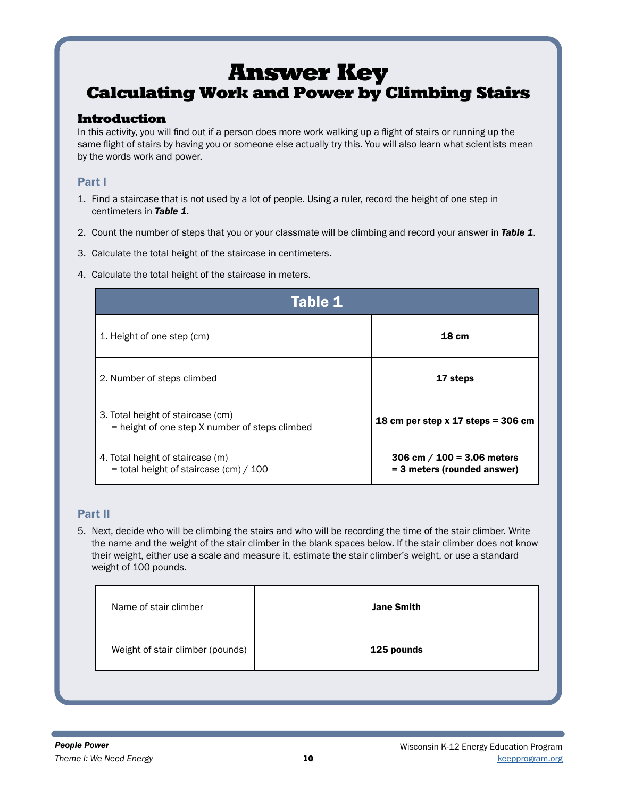### Answer Key Calculating Work and Power by Climbing Stairs

### Introduction

In this activity, you will find out if a person does more work walking up a flight of stairs or running up the same flight of stairs by having you or someone else actually try this. You will also learn what scientists mean by the words work and power.

### Part I

- 1. Find a staircase that is not used by a lot of people. Using a ruler, record the height of one step in centimeters in *Table 1*.
- 2. Count the number of steps that you or your classmate will be climbing and record your answer in *Table 1*.
- 3. Calculate the total height of the staircase in centimeters.
- 4. Calculate the total height of the staircase in meters.

| Table 1                                                                             |                                                             |  |
|-------------------------------------------------------------------------------------|-------------------------------------------------------------|--|
| 1. Height of one step (cm)                                                          | <b>18 cm</b>                                                |  |
| 2. Number of steps climbed                                                          | 17 steps                                                    |  |
| 3. Total height of staircase (cm)<br>= height of one step X number of steps climbed | 18 cm per step $x$ 17 steps = 306 cm                        |  |
| 4. Total height of staircase (m)<br>= total height of staircase (cm) / 100          | 306 cm $/$ 100 = 3.06 meters<br>= 3 meters (rounded answer) |  |

### Part II

5. Next, decide who will be climbing the stairs and who will be recording the time of the stair climber. Write the name and the weight of the stair climber in the blank spaces below. If the stair climber does not know their weight, either use a scale and measure it, estimate the stair climber's weight, or use a standard weight of 100 pounds.

| Name of stair climber            | <b>Jane Smith</b> |
|----------------------------------|-------------------|
| Weight of stair climber (pounds) | 125 pounds        |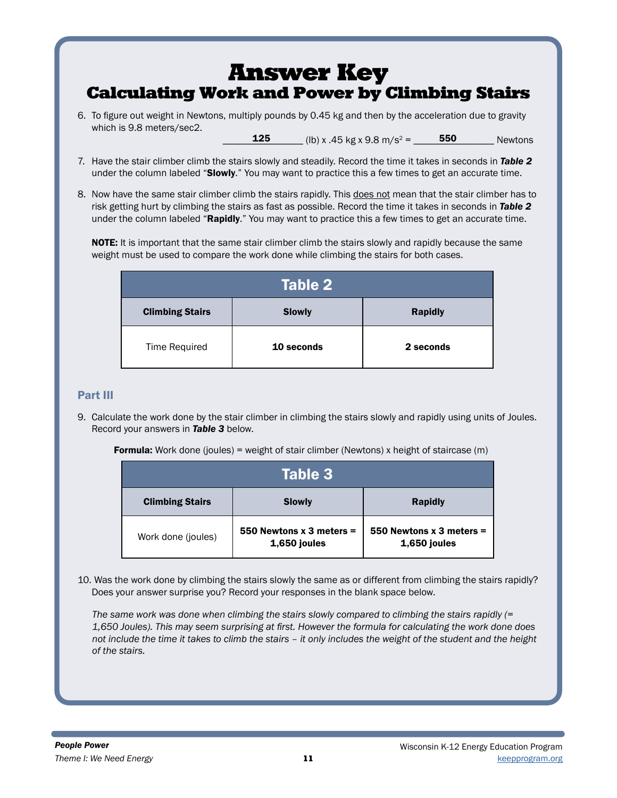### Answer Key Calculating Work and Power by Climbing Stairs

6. To figure out weight in Newtons, multiply pounds by 0.45 kg and then by the acceleration due to gravity which is 9.8 meters/sec2. \_\_\_\_\_\_\_\_\_\_\_\_\_\_\_\_ (lb) x .45 kg x 9.8 m/s2 = \_\_\_\_\_\_\_\_\_\_\_\_\_\_\_\_ Newtons 125 550

7. Have the stair climber climb the stairs slowly and steadily. Record the time it takes in seconds in *Table 2* under the column labeled "Slowly." You may want to practice this a few times to get an accurate time.

8. Now have the same stair climber climb the stairs rapidly. This does not mean that the stair climber has to risk getting hurt by climbing the stairs as fast as possible. Record the time it takes in seconds in *Table 2* under the column labeled "Rapidly." You may want to practice this a few times to get an accurate time.

NOTE: It is important that the same stair climber climb the stairs slowly and rapidly because the same weight must be used to compare the work done while climbing the stairs for both cases.

| Table 2                |               |                |  |
|------------------------|---------------|----------------|--|
| <b>Climbing Stairs</b> | <b>Slowly</b> | <b>Rapidly</b> |  |
| Time Required          | 10 seconds    | 2 seconds      |  |

### Part III

9. Calculate the work done by the stair climber in climbing the stairs slowly and rapidly using units of Joules. Record your answers in *Table 3* below.

Formula: Work done (joules) = weight of stair climber (Newtons) x height of staircase (m)

| Table 3'               |                                            |                                            |  |
|------------------------|--------------------------------------------|--------------------------------------------|--|
| <b>Climbing Stairs</b> | <b>Slowly</b>                              | <b>Rapidly</b>                             |  |
| Work done (joules)     | 550 Newtons $x$ 3 meters =<br>1,650 joules | 550 Newtons $x$ 3 meters =<br>1,650 joules |  |

10. Was the work done by climbing the stairs slowly the same as or different from climbing the stairs rapidly? Does your answer surprise you? Record your responses in the blank space below.

*The same work was done when climbing the stairs slowly compared to climbing the stairs rapidly (= 1,650 Joules). This may seem surprising at first. However the formula for calculating the work done does not include the time it takes to climb the stairs – it only includes the weight of the student and the height of the stairs.*